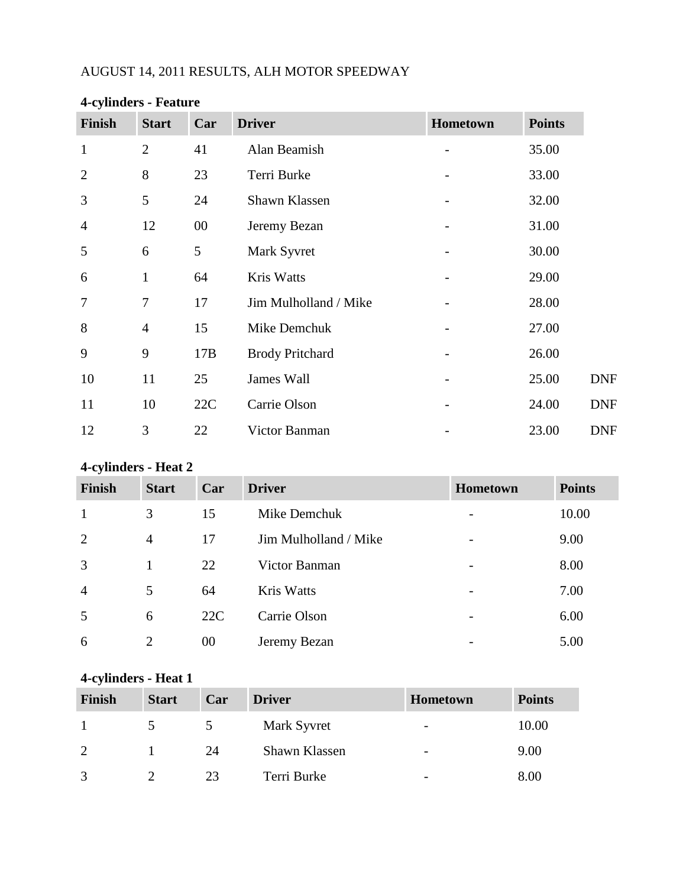# AUGUST 14, 2011 RESULTS, ALH MOTOR SPEEDWAY

| <b>Finish</b>  | <b>Start</b>   | Car    | <b>Driver</b>          | Hometown | <b>Points</b> |
|----------------|----------------|--------|------------------------|----------|---------------|
| $\mathbf{1}$   | $\overline{2}$ | 41     | Alan Beamish           |          | 35.00         |
| $\overline{2}$ | 8              | 23     | Terri Burke            |          | 33.00         |
| 3              | 5              | 24     | Shawn Klassen          |          | 32.00         |
| $\overline{4}$ | 12             | $00\,$ | Jeremy Bezan           |          | 31.00         |
| 5              | 6              | 5      | Mark Syvret            |          | 30.00         |
| 6              | $\mathbf{1}$   | 64     | Kris Watts             |          | 29.00         |
| 7              | 7              | 17     | Jim Mulholland / Mike  |          | 28.00         |
| 8              | $\overline{4}$ | 15     | Mike Demchuk           |          | 27.00         |
| 9              | 9              | 17B    | <b>Brody Pritchard</b> |          | 26.00         |
| 10             | 11             | 25     | James Wall             |          | 25.00         |
| 11             | 10             | 22C    | Carrie Olson           |          | 24.00         |
| 12             | 3              | 22     | Victor Banman          |          | 23.00         |

# **4-cylinders - Feature**

## **4-cylinders - Heat 2**

| <b>Finish</b>  | <b>Start</b>   | Car | <b>Driver</b>         | <b>Hometown</b> | <b>Points</b> |
|----------------|----------------|-----|-----------------------|-----------------|---------------|
| $\mathbf{1}$   | 3              | 15  | Mike Demchuk          |                 | 10.00         |
| 2              | $\overline{4}$ | 17  | Jim Mulholland / Mike | -               | 9.00          |
| 3              |                | 22  | Victor Banman         | -               | 8.00          |
| $\overline{4}$ | 5              | 64  | Kris Watts            |                 | 7.00          |
| 5              | 6              | 22C | Carrie Olson          |                 | 6.00          |
| 6              | $\overline{2}$ | 00  | Jeremy Bezan          |                 | 5.00          |

# **4-cylinders - Heat 1**

| $\cdot$<br><b>Finish</b> | <b>Start</b> | Car | <b>Driver</b> | <b>Hometown</b> | <b>Points</b> |
|--------------------------|--------------|-----|---------------|-----------------|---------------|
|                          |              |     | Mark Syvret   | -               | 10.00         |
|                          |              | 24  | Shawn Klassen | -               | 9.00          |
|                          |              | 23  | Terri Burke   |                 | 8.00          |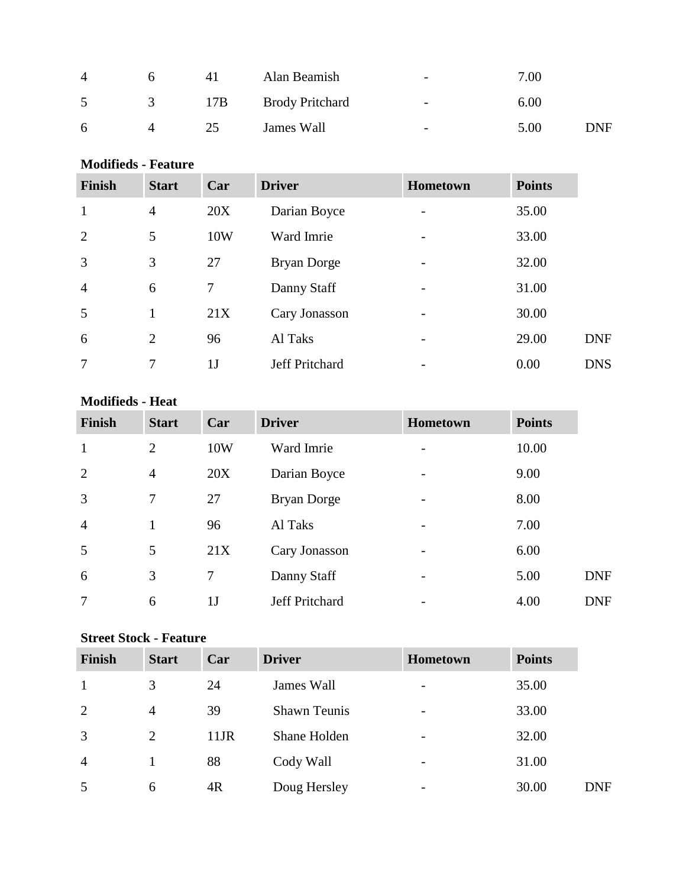| 4 | n | 41  | Alan Beamish           | $\overline{\phantom{a}}$ | 7.00 |      |
|---|---|-----|------------------------|--------------------------|------|------|
| 5 |   | 17B | <b>Brody Pritchard</b> | $\overline{\phantom{0}}$ | 6.00 |      |
| 6 |   | 25  | James Wall             | $\overline{\phantom{a}}$ | 5.00 | DNF. |

### **Modifieds - Feature**

| Finish         | <b>Start</b>   | Car            | <b>Driver</b>      | Hometown                 | <b>Points</b> |            |
|----------------|----------------|----------------|--------------------|--------------------------|---------------|------------|
| $\mathbf{1}$   | $\overline{4}$ | 20X            | Darian Boyce       |                          | 35.00         |            |
| $\overline{2}$ | 5              | 10W            | Ward Imrie         |                          | 33.00         |            |
| $\overline{3}$ | 3              | 27             | <b>Bryan Dorge</b> |                          | 32.00         |            |
| $\overline{4}$ | 6              | 7              | Danny Staff        |                          | 31.00         |            |
| 5              |                | 21X            | Cary Jonasson      |                          | 30.00         |            |
| 6              | 2              | 96             | Al Taks            | $\overline{\phantom{a}}$ | 29.00         | <b>DNF</b> |
| $\overline{7}$ | 7              | 1 <sub>J</sub> | Jeff Pritchard     |                          | 0.00          | <b>DNS</b> |

#### **Modifieds - Heat**

| <b>Finish</b>  | <b>Start</b>   | Car            | <b>Driver</b>      | Hometown                     | <b>Points</b> |            |
|----------------|----------------|----------------|--------------------|------------------------------|---------------|------------|
| 1              | $\overline{2}$ | 10W            | Ward Imrie         |                              | 10.00         |            |
| 2              | $\overline{4}$ | 20X            | Darian Boyce       | $\qquad \qquad$              | 9.00          |            |
| 3              | 7              | 27             | <b>Bryan Dorge</b> |                              | 8.00          |            |
| $\overline{4}$ | $\mathbf{1}$   | 96             | Al Taks            | $\qquad \qquad \blacksquare$ | 7.00          |            |
| 5              | 5              | 21X            | Cary Jonasson      |                              | 6.00          |            |
| 6              | 3              | 7              | Danny Staff        | $\overline{\phantom{a}}$     | 5.00          | <b>DNF</b> |
| 7              | 6              | 1 <sub>J</sub> | Jeff Pritchard     |                              | 4.00          | <b>DNF</b> |

## **Street Stock - Feature**

| <b>Finish</b>  | <b>Start</b>   | Car     | <b>Driver</b>       | <b>Hometown</b>          | <b>Points</b> |            |
|----------------|----------------|---------|---------------------|--------------------------|---------------|------------|
|                | 3              | 24      | James Wall          | $\overline{\phantom{a}}$ | 35.00         |            |
| 2              | 4              | 39      | <b>Shawn Teunis</b> | $\overline{\phantom{a}}$ | 33.00         |            |
| 3              | $\overline{2}$ | $11$ JR | Shane Holden        | $\overline{\phantom{a}}$ | 32.00         |            |
| $\overline{4}$ |                | 88      | Cody Wall           | $\overline{\phantom{a}}$ | 31.00         |            |
| 5              | 6              | 4R      | Doug Hersley        | $\overline{\phantom{a}}$ | 30.00         | <b>DNF</b> |